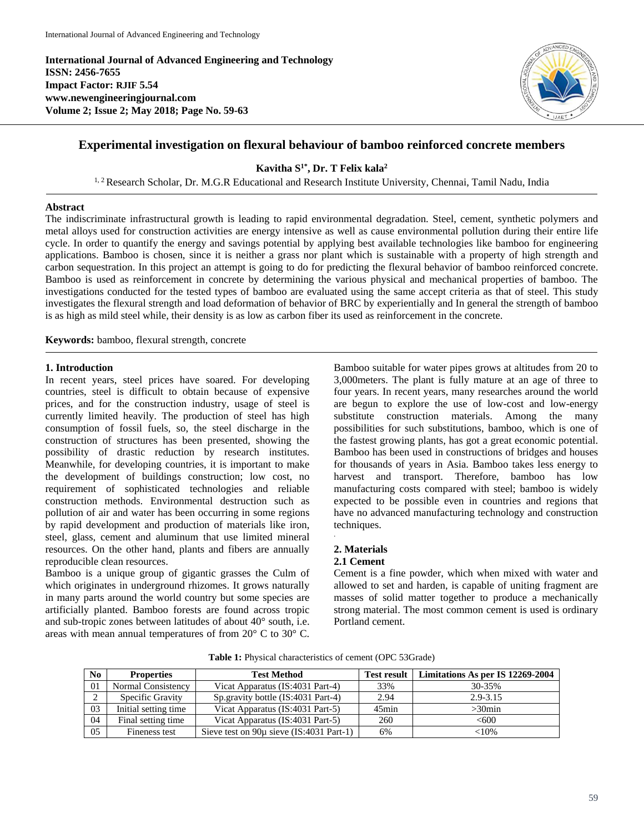**International Journal of Advanced Engineering and Technology ISSN: 2456-7655 Impact Factor: RJIF 5.54 www.newengineeringjournal.com Volume 2; Issue 2; May 2018; Page No. 59-63**



# **Experimental investigation on flexural behaviour of bamboo reinforced concrete members**

**Kavitha S 1\* , Dr. T Felix kala<sup>2</sup>**

<sup>1, 2</sup> Research Scholar, Dr. M.G.R Educational and Research Institute University, Chennai, Tamil Nadu, India

## **Abstract**

The indiscriminate infrastructural growth is leading to rapid environmental degradation. Steel, cement, synthetic polymers and metal alloys used for construction activities are energy intensive as well as cause environmental pollution during their entire life cycle. In order to quantify the energy and savings potential by applying best available technologies like bamboo for engineering applications. Bamboo is chosen, since it is neither a grass nor plant which is sustainable with a property of high strength and carbon sequestration. In this project an attempt is going to do for predicting the flexural behavior of bamboo reinforced concrete. Bamboo is used as reinforcement in concrete by determining the various physical and mechanical properties of bamboo. The investigations conducted for the tested types of bamboo are evaluated using the same accept criteria as that of steel. This study investigates the flexural strength and load deformation of behavior of BRC by experientially and In general the strength of bamboo is as high as mild steel while, their density is as low as carbon fiber its used as reinforcement in the concrete.

**Keywords:** bamboo, flexural strength, concrete

### **1. Introduction**

In recent years, steel prices have soared. For developing countries, steel is difficult to obtain because of expensive prices, and for the construction industry, usage of steel is currently limited heavily. The production of steel has high consumption of fossil fuels, so, the steel discharge in the construction of structures has been presented, showing the possibility of drastic reduction by research institutes. Meanwhile, for developing countries, it is important to make the development of buildings construction; low cost, no requirement of sophisticated technologies and reliable construction methods. Environmental destruction such as pollution of air and water has been occurring in some regions by rapid development and production of materials like iron, steel, glass, cement and aluminum that use limited mineral resources. On the other hand, plants and fibers are annually reproducible clean resources.

Bamboo is a unique group of gigantic grasses the Culm of which originates in underground rhizomes. It grows naturally in many parts around the world country but some species are artificially planted. Bamboo forests are found across tropic and sub-tropic zones between latitudes of about 40° south, i.e. areas with mean annual temperatures of from 20° C to 30° C. Bamboo suitable for water pipes grows at altitudes from 20 to 3,000meters. The plant is fully mature at an age of three to four years. In recent years, many researches around the world are begun to explore the use of low-cost and low-energy substitute construction materials. Among the many possibilities for such substitutions, bamboo, which is one of the fastest growing plants, has got a great economic potential. Bamboo has been used in constructions of bridges and houses for thousands of years in Asia. Bamboo takes less energy to harvest and transport. Therefore, bamboo has low manufacturing costs compared with steel; bamboo is widely expected to be possible even in countries and regions that have no advanced manufacturing technology and construction techniques.

# **2. Materials**

.

# **2.1 Cement**

Cement is a fine powder, which when mixed with water and allowed to set and harden, is capable of uniting fragment are masses of solid matter together to produce a mechanically strong material. The most common cement is used is ordinary Portland cement.

| No. | <b>Properties</b>    | <b>Test Method</b>                           | <b>Test result</b> | Limitations As per IS 12269-2004 |
|-----|----------------------|----------------------------------------------|--------------------|----------------------------------|
| 01  | Normal Consistency   | Vicat Apparatus (IS:4031 Part-4)             | 33%                | 30-35%                           |
|     | Specific Gravity     | Sp. gravity bottle (IS:4031 Part-4)          | 2.94               | $2.9 - 3.15$                     |
| 03  | Initial setting time | Vicat Apparatus (IS:4031 Part-5)             | $45$ min           | $>30$ min                        |
| 04  | Final setting time   | Vicat Apparatus (IS:4031 Part-5)             | 260                | <600                             |
| 05  | Fineness test        | Sieve test on $90\mu$ sieve (IS:4031 Part-1) | 6%                 | <10%                             |

**Table 1:** Physical characteristics of cement (OPC 53Grade)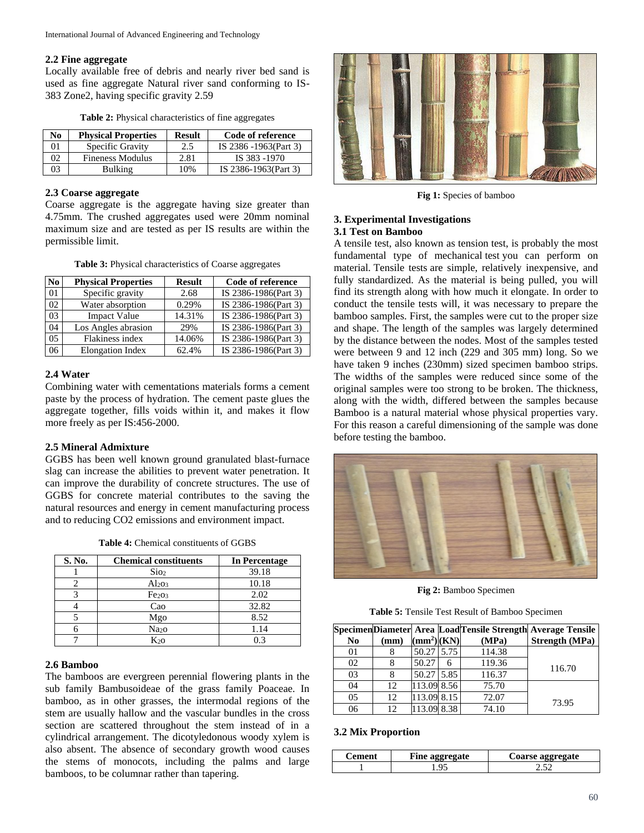### **2.2 Fine aggregate**

Locally available free of debris and nearly river bed sand is used as fine aggregate Natural river sand conforming to IS-383 Zone2, having specific gravity 2.59

| N <sub>0</sub> | <b>Physical Properties</b> | <b>Result</b> | Code of reference     |
|----------------|----------------------------|---------------|-----------------------|
| 01             | Specific Gravity           | 2.5           | IS 2386 -1963(Part 3) |
| 02             | Fineness Modulus           | 2.81          | IS 383 -1970          |
| 03             | <b>Bulking</b>             | 10%           | IS 2386-1963(Part 3)  |

**Table 2:** Physical characteristics of fine aggregates

#### **2.3 Coarse aggregate**

Coarse aggregate is the aggregate having size greater than 4.75mm. The crushed aggregates used were 20mm nominal maximum size and are tested as per IS results are within the permissible limit.

| Table 3: Physical characteristics of Coarse aggregates |  |  |  |
|--------------------------------------------------------|--|--|--|
|--------------------------------------------------------|--|--|--|

| No             | <b>Physical Properties</b> | <b>Result</b> | Code of reference    |
|----------------|----------------------------|---------------|----------------------|
| 01             | Specific gravity           | 2.68          | IS 2386-1986(Part 3) |
| 02             | Water absorption           | 0.29%         | IS 2386-1986(Part 3) |
| 0 <sub>3</sub> | <b>Impact Value</b>        | 14.31%        | IS 2386-1986(Part 3) |
| 04             | Los Angles abrasion        | 29%           | IS 2386-1986(Part 3) |
| 0.5            | Flakiness index            | 14.06%        | IS 2386-1986(Part 3) |
| 06             | Elongation Index           | 62.4%         | IS 2386-1986(Part 3) |

#### **2.4 Water**

Combining water with cementations materials forms a cement paste by the process of hydration. The cement paste glues the aggregate together, fills voids within it, and makes it flow more freely as per IS:456-2000.

#### **2.5 Mineral Admixture**

GGBS has been well known ground granulated blast-furnace slag can increase the abilities to prevent water penetration. It can improve the durability of concrete structures. The use of GGBS for concrete material contributes to the saving the natural resources and energy in cement manufacturing process and to reducing CO2 emissions and environment impact.

| S. No. | <b>Chemical constituents</b> | In Percentage |
|--------|------------------------------|---------------|
|        | Sio <sub>2</sub>             | 39.18         |
|        | Al <sub>203</sub>            | 10.18         |
|        | Fe <sub>2O3</sub>            | 2.02          |
|        | Cao                          | 32.82         |
|        | Mgo                          | 8.52          |
|        | Na <sub>20</sub>             | 1.14          |
|        | $K_{20}$                     | በ 3           |

**Table 4:** Chemical constituents of GGBS

#### **2.6 Bamboo**

The bamboos are evergreen perennial flowering plants in the sub family Bambusoideae of the grass family Poaceae. In bamboo, as in other grasses, the intermodal regions of the stem are usually hallow and the vascular bundles in the cross section are scattered throughout the stem instead of in a cylindrical arrangement. The dicotyledonous woody xylem is also absent. The absence of secondary growth wood causes the stems of monocots, including the palms and large bamboos, to be columnar rather than tapering.



**Fig 1:** Species of bamboo

### **3. Experimental Investigations 3.1 Test on Bamboo**

A tensile test, also known as tension test, is probably the most fundamental type of mechanical test you can perform on material. Tensile tests are simple, relatively inexpensive, and fully standardized. As the material is being pulled, you will find its strength along with how much it elongate. In order to conduct the tensile tests will, it was necessary to prepare the bamboo samples. First, the samples were cut to the proper size and shape. The length of the samples was largely determined by the distance between the nodes. Most of the samples tested were between 9 and 12 inch (229 and 305 mm) long. So we have taken 9 inches (230mm) sized specimen bamboo strips. The widths of the samples were reduced since some of the original samples were too strong to be broken. The thickness, along with the width, differed between the samples because Bamboo is a natural material whose physical properties vary. For this reason a careful dimensioning of the sample was done before testing the bamboo.



**Fig 2:** Bamboo Specimen

**Table 5:** Tensile Test Result of Bamboo Specimen

|                |      |                        |   |        | SpecimenDiameter Area LoadTensile Strength Average Tensile |
|----------------|------|------------------------|---|--------|------------------------------------------------------------|
| N <sub>0</sub> | (mm) | (mm <sup>2</sup> )(KN) |   | (MPa)  | <b>Strength (MPa)</b>                                      |
| 0 <sub>1</sub> |      | 50.27 5.75             |   | 114.38 |                                                            |
| 02             | 8    | 50.27                  | 6 | 119.36 | 116.70                                                     |
| 03             | 8    | 50.27 5.85             |   | 116.37 |                                                            |
| 04             | 12   | 113.09 8.56            |   | 75.70  |                                                            |
| 05             | 12   | 113.09 8.15            |   | 72.07  | 73.95                                                      |
| 06             | 12   | 113.09 8.38            |   | 74.10  |                                                            |

#### **3.2 Mix Proportion**

| Fine aggregate<br>ent) |    | rse aggregate |  |
|------------------------|----|---------------|--|
|                        | u٠ | $\epsilon$    |  |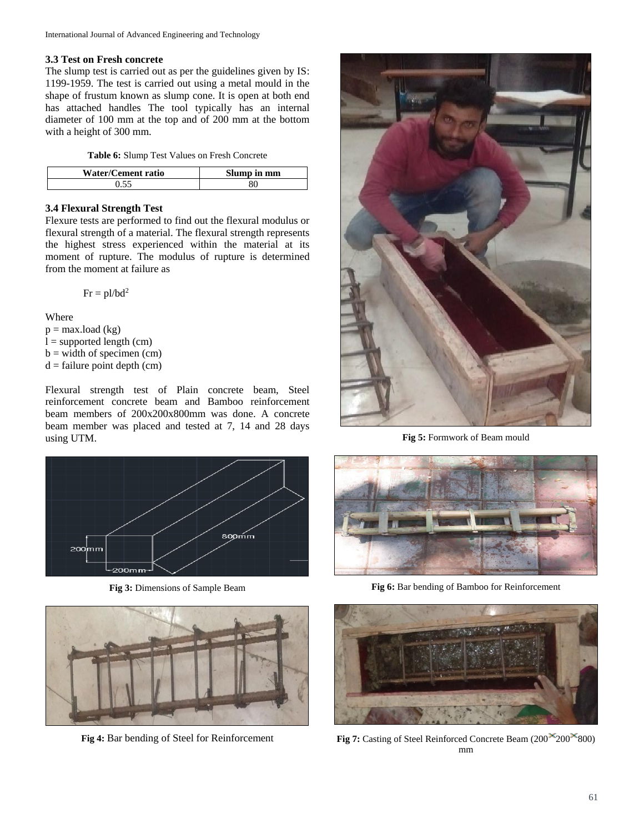# **3.3 Test on Fresh concrete**

The slump test is carried out as per the guidelines given by IS: 1199-1959. The test is carried out using a metal mould in the shape of frustum known as slump cone. It is open at both end has attached handles The tool typically has an internal diameter of 100 mm at the top and of 200 mm at the bottom with a height of 300 mm.

**Table 6:** Slump Test Values on Fresh Concrete

| Water/Cement ratio | Slump in mm |
|--------------------|-------------|
|                    |             |

# **3.4 Flexural Strength Test**

Flexure tests are performed to find out the flexural modulus or flexural strength of a material. The flexural strength represents the highest stress experienced within the material at its moment of rupture. The modulus of rupture is determined from the moment at failure as

$$
Fr = pl/bd^2
$$

Where

 $p = max.load (kg)$ 

 $l =$  supported length (cm)

 $b = width of specimen (cm)$ 

 $d =$  failure point depth (cm)

Flexural strength test of Plain concrete beam, Steel reinforcement concrete beam and Bamboo reinforcement beam members of 200x200x800mm was done. A concrete beam member was placed and tested at 7, 14 and 28 days using UTM.



**Fig 3:** Dimensions of Sample Beam



**Fig 4:** Bar bending of Steel for Reinforcement



**Fig 5:** Formwork of Beam mould



**Fig 6:** Bar bending of Bamboo for Reinforcement



**Fig 7:** Casting of Steel Reinforced Concrete Beam (200<sup>×</sup>200<sup>×</sup>800) mm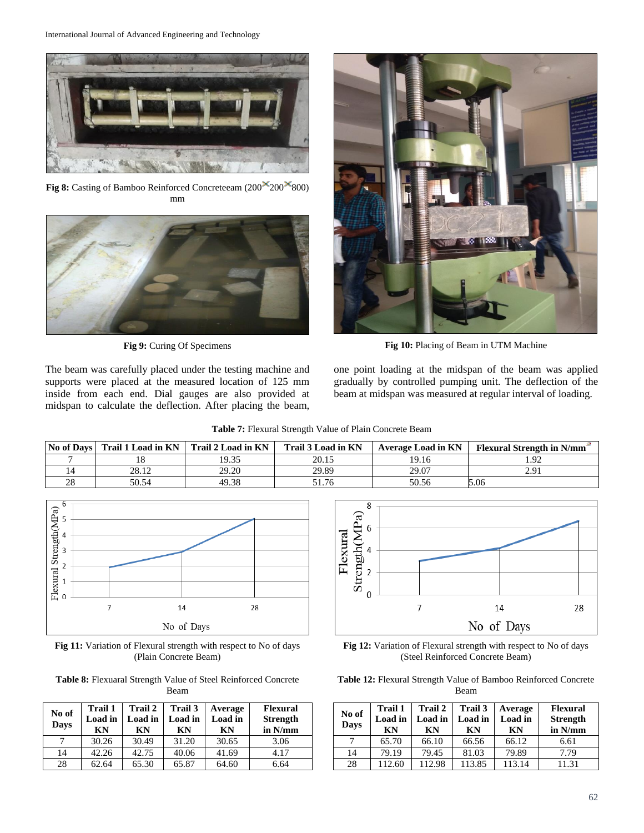

**Fig 8:** Casting of Bamboo Reinforced Concreteeam (200<sup>×</sup>200<sup>×</sup>800) mm



The beam was carefully placed under the testing machine and supports were placed at the measured location of 125 mm inside from each end. Dial gauges are also provided at midspan to calculate the deflection. After placing the beam,



**Fig 9:** Curing Of Specimens **Fig 10:** Placing of Beam in UTM Machine

one point loading at the midspan of the beam was applied gradually by controlled pumping unit. The deflection of the beam at midspan was measured at regular interval of loading.

**Table 7:** Flexural Strength Value of Plain Concrete Beam

|    | No of Davs   Trail 1 Load in KN   Trail 2 Load in KN |       | Trail 3 Load in KN | Average Load in KN | <b>Flexural Strength in N/mm</b> |
|----|------------------------------------------------------|-------|--------------------|--------------------|----------------------------------|
|    |                                                      | 19.35 | 20.15              | 19.16              | 1.92                             |
|    | 28.12                                                | 29.20 | 29.89              | 29.07              | 2.91                             |
| 28 | 50.54                                                | 49.38 | 51.76              | 50.56              | 5.06                             |



**Fig 11:** Variation of Flexural strength with respect to No of days (Plain Concrete Beam)

**Table 8:** Flexuaral Strength Value of Steel Reinforced Concrete Beam

| No of<br>Days | Trail 1<br>Load in<br>ΚN | <b>Trail 2</b><br>Load in<br>КN | Trail 3<br>Load in<br>КN | Average<br>Load in<br>KN | <b>Flexural</b><br><b>Strength</b><br>in N/mm |
|---------------|--------------------------|---------------------------------|--------------------------|--------------------------|-----------------------------------------------|
|               | 30.26                    | 30.49                           | 31.20                    | 30.65                    | 3.06                                          |
| 14            | 42.26                    | 42.75                           | 40.06                    | 41.69                    | 4.17                                          |
| 28            | 62.64                    | 65.30                           | 65.87                    | 64.60                    | 6.64                                          |



**Fig 12:** Variation of Flexural strength with respect to No of days (Steel Reinforced Concrete Beam)

**Table 12:** Flexural Strength Value of Bamboo Reinforced Concrete Beam

| No of<br>Days | Trail 1<br>Load in<br>ΚN | Trail 2<br>Load in<br>KN | Trail 3<br>Load in<br>KN | Average<br>Load in<br>KN | <b>Flexural</b><br><b>Strength</b><br>in N/mm |
|---------------|--------------------------|--------------------------|--------------------------|--------------------------|-----------------------------------------------|
|               | 65.70                    | 66.10                    | 66.56                    | 66.12                    | 6.61                                          |
| 14            | 79.19                    | 79.45                    | 81.03                    | 79.89                    | 7.79                                          |
| 28            | 112.60                   | 112.98                   | 113.85                   | 113.14                   | 11.31                                         |